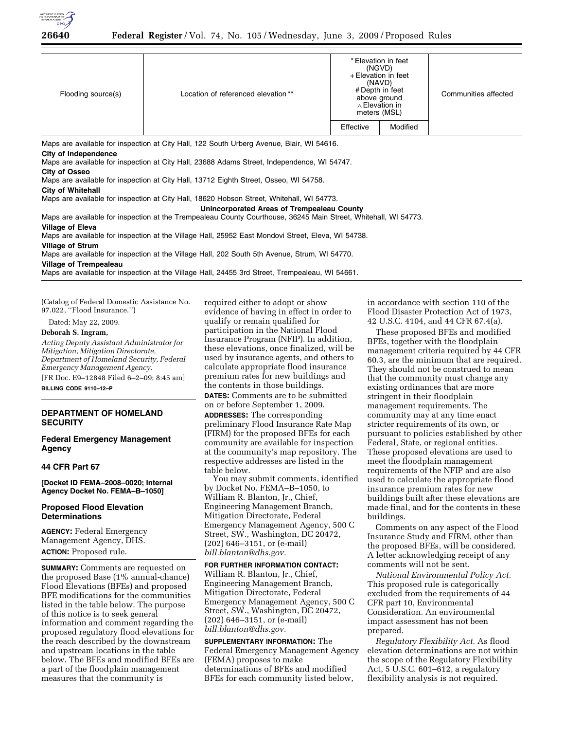

| Flooding source(s)   | Location of referenced elevation **                                                       | * Elevation in feet<br>(NGVD)<br>+ Elevation in feet<br>(NAVD)<br># Depth in feet<br>above ground<br>$\wedge$ Elevation in<br>meters (MSL) |          | Communities affected |  |
|----------------------|-------------------------------------------------------------------------------------------|--------------------------------------------------------------------------------------------------------------------------------------------|----------|----------------------|--|
|                      |                                                                                           | Effective                                                                                                                                  | Modified |                      |  |
| City of Independence | Maps are available for inspection at City Hall, 122 South Urberg Avenue, Blair, WI 54616. |                                                                                                                                            |          |                      |  |

Maps are available for inspection at City Hall, 23688 Adams Street, Independence, WI 54747.

**City of Osseo** 

Maps are available for inspection at City Hall, 13712 Eighth Street, Osseo, WI 54758.

**City of Whitehall** 

Maps are available for inspection at City Hall, 18620 Hobson Street, Whitehall, WI 54773.

**Unincorporated Areas of Trempealeau County** 

Maps are available for inspection at the Trempealeau County Courthouse, 36245 Main Street, Whitehall, WI 54773.

#### **Village of Eleva**

Maps are available for inspection at the Village Hall, 25952 East Mondovi Street, Eleva, WI 54738. **Village of Strum** 

Maps are available for inspection at the Village Hall, 202 South 5th Avenue, Strum, WI 54770.

**Village of Trempealeau** 

Maps are available for inspection at the Village Hall, 24455 3rd Street, Trempealeau, WI 54661.

(Catalog of Federal Domestic Assistance No. 97.022, ''Flood Insurance.'')

Dated: May 22, 2009.

# **Deborah S. Ingram,**

*Acting Deputy Assistant Administrator for Mitigation, Mitigation Directorate, Department of Homeland Security, Federal Emergency Management Agency.* 

[FR Doc. E9–12848 Filed 6–2–09; 8:45 am]

**BILLING CODE 9110–12–P** 

# **DEPARTMENT OF HOMELAND SECURITY**

# **Federal Emergency Management Agency**

## **44 CFR Part 67**

**[Docket ID FEMA–2008–0020; Internal Agency Docket No. FEMA–B–1050]** 

# **Proposed Flood Elevation Determinations**

**AGENCY:** Federal Emergency Management Agency, DHS. **ACTION:** Proposed rule.

**SUMMARY:** Comments are requested on the proposed Base (1% annual-chance) Flood Elevations (BFEs) and proposed BFE modifications for the communities listed in the table below. The purpose of this notice is to seek general information and comment regarding the proposed regulatory flood elevations for the reach described by the downstream and upstream locations in the table below. The BFEs and modified BFEs are a part of the floodplain management measures that the community is

required either to adopt or show evidence of having in effect in order to qualify or remain qualified for participation in the National Flood Insurance Program (NFIP). In addition, these elevations, once finalized, will be used by insurance agents, and others to calculate appropriate flood insurance premium rates for new buildings and the contents in those buildings.

**DATES:** Comments are to be submitted on or before September 1, 2009.

**ADDRESSES:** The corresponding preliminary Flood Insurance Rate Map (FIRM) for the proposed BFEs for each community are available for inspection at the community's map repository. The respective addresses are listed in the table below.

You may submit comments, identified by Docket No. FEMA–B–1050, to William R. Blanton, Jr., Chief, Engineering Management Branch, Mitigation Directorate, Federal Emergency Management Agency, 500 C Street, SW., Washington, DC 20472, (202) 646–3151, or (e-mail) *bill.blanton@dhs.gov.* 

#### **FOR FURTHER INFORMATION CONTACT:**

William R. Blanton, Jr., Chief, Engineering Management Branch, Mitigation Directorate, Federal Emergency Management Agency, 500 C Street, SW., Washington, DC 20472, (202) 646–3151, or (e-mail) *bill.blanton@dhs.gov.* 

**SUPPLEMENTARY INFORMATION:** The Federal Emergency Management Agency (FEMA) proposes to make determinations of BFEs and modified BFEs for each community listed below,

in accordance with section 110 of the Flood Disaster Protection Act of 1973, 42 U.S.C. 4104, and 44 CFR 67.4(a).

These proposed BFEs and modified BFEs, together with the floodplain management criteria required by 44 CFR 60.3, are the minimum that are required. They should not be construed to mean that the community must change any existing ordinances that are more stringent in their floodplain management requirements. The community may at any time enact stricter requirements of its own, or pursuant to policies established by other Federal, State, or regional entities. These proposed elevations are used to meet the floodplain management requirements of the NFIP and are also used to calculate the appropriate flood insurance premium rates for new buildings built after these elevations are made final, and for the contents in these buildings.

Comments on any aspect of the Flood Insurance Study and FIRM, other than the proposed BFEs, will be considered. A letter acknowledging receipt of any comments will not be sent.

*National Environmental Policy Act.*  This proposed rule is categorically excluded from the requirements of 44 CFR part 10, Environmental Consideration. An environmental impact assessment has not been prepared.

*Regulatory Flexibility Act.* As flood elevation determinations are not within the scope of the Regulatory Flexibility Act, 5 U.S.C. 601–612, a regulatory flexibility analysis is not required.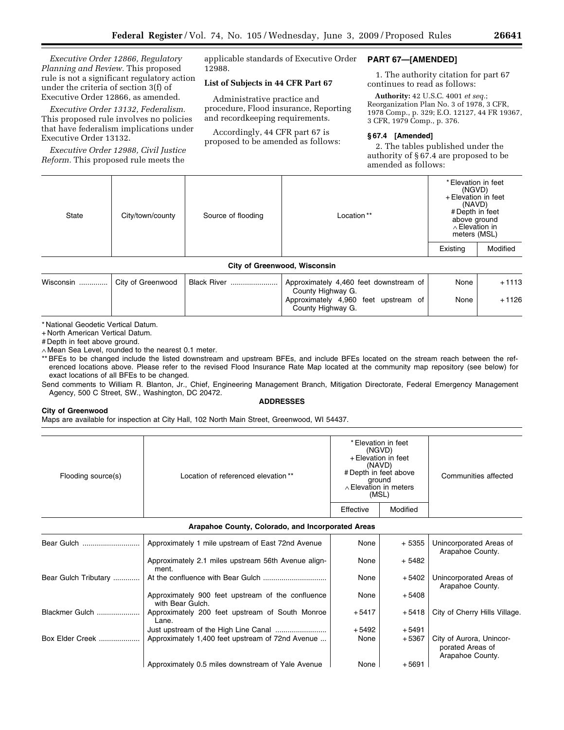*Executive Order 12866, Regulatory Planning and Review.* This proposed rule is not a significant regulatory action under the criteria of section 3(f) of Executive Order 12866, as amended.

*Executive Order 13132, Federalism.*  This proposed rule involves no policies that have federalism implications under Executive Order 13132.

*Executive Order 12988, Civil Justice Reform.* This proposed rule meets the

applicable standards of Executive Order 12988.

# **List of Subjects in 44 CFR Part 67**

Administrative practice and procedure, Flood insurance, Reporting and recordkeeping requirements.

Accordingly, 44 CFR part 67 is proposed to be amended as follows:

# **PART 67—[AMENDED]**

1. The authority citation for part 67 continues to read as follows:

**Authority:** 42 U.S.C. 4001 *et seq.*; Reorganization Plan No. 3 of 1978, 3 CFR, 1978 Comp., p. 329; E.O. 12127, 44 FR 19367, 3 CFR, 1979 Comp., p. 376.

# **§ 67.4 [Amended]**

2. The tables published under the authority of § 67.4 are proposed to be amended as follows:

| State                               | City/town/county | Source of flooding | Location** | * Elevation in feet<br>(NGVD)<br>+ Elevation in feet<br>(NAVD)<br># Depth in feet<br>above ground<br>$\wedge$ Elevation in<br>meters (MSL) |          |
|-------------------------------------|------------------|--------------------|------------|--------------------------------------------------------------------------------------------------------------------------------------------|----------|
|                                     |                  |                    |            | Existing                                                                                                                                   | Modified |
| <b>City of Greenwood, Wisconsin</b> |                  |                    |            |                                                                                                                                            |          |

| Wisconsin | City of Greenwood | Black River | Approximately 4,460 feet downstream of<br>County Highway G. | None | $+1113$ |
|-----------|-------------------|-------------|-------------------------------------------------------------|------|---------|
|           |                   |             | Approximately 4,960 feet upstream of<br>County Highway G.   | None | + 1126  |

\* National Geodetic Vertical Datum.

+ North American Vertical Datum.

# Depth in feet above ground.

∧ Mean Sea Level, rounded to the nearest 0.1 meter.

\*\* BFEs to be changed include the listed downstream and upstream BFEs, and include BFEs located on the stream reach between the referenced locations above. Please refer to the revised Flood Insurance Rate Map located at the community map repository (see below) for exact locations of all BFEs to be changed.

Send comments to William R. Blanton, Jr., Chief, Engineering Management Branch, Mitigation Directorate, Federal Emergency Management Agency, 500 C Street, SW., Washington, DC 20472.

#### **ADDRESSES**

## **City of Greenwood**

Maps are available for inspection at City Hall, 102 North Main Street, Greenwood, WI 54437.

| Flooding source(s) | Location of referenced elevation** |           | * Elevation in feet<br>(NGVD)<br>+ Elevation in feet<br>(NAVD)<br># Depth in feet above<br>ground<br>$\land$ Elevation in meters<br>(MSL) | Communities affected |
|--------------------|------------------------------------|-----------|-------------------------------------------------------------------------------------------------------------------------------------------|----------------------|
|                    |                                    | Effective | Modified                                                                                                                                  |                      |

## **Arapahoe County, Colorado, and Incorporated Areas**

|                      | Approximately 1 mile upstream of East 72nd Avenue                     | None    | $+5355$ | Unincorporated Areas of<br>Arapahoe County.                      |
|----------------------|-----------------------------------------------------------------------|---------|---------|------------------------------------------------------------------|
|                      | Approximately 2.1 miles upstream 56th Avenue align-<br>ment.          | None    | $+5482$ |                                                                  |
| Bear Gulch Tributary |                                                                       | None    | $+5402$ | Unincorporated Areas of<br>Arapahoe County.                      |
|                      | Approximately 900 feet upstream of the confluence<br>with Bear Gulch. | None    | $+5408$ |                                                                  |
| Blackmer Gulch       | Approximately 200 feet upstream of South Monroe<br>Lane.              | $+5417$ | +5418   | City of Cherry Hills Village.                                    |
|                      |                                                                       | $+5492$ | $+5491$ |                                                                  |
| Box Elder Creek      | Approximately 1,400 feet upstream of 72nd Avenue                      | None    | $+5367$ | City of Aurora, Unincor-<br>porated Areas of<br>Arapahoe County. |
|                      | Approximately 0.5 miles downstream of Yale Avenue                     | None    | $+5691$ |                                                                  |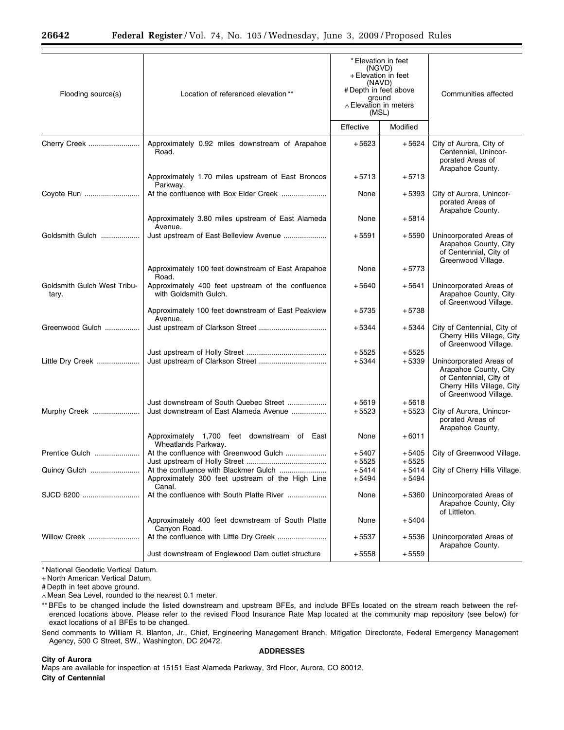| Flooding source(s)                   | Location of referenced elevation**                                               | *Elevation in feet<br>(NGVD)<br>+ Elevation in feet<br>(NAVD)<br># Depth in feet above<br>ground<br>$\wedge$ Elevation in meters<br>(MSL) |                    | Communities affected                                                                                                              |
|--------------------------------------|----------------------------------------------------------------------------------|-------------------------------------------------------------------------------------------------------------------------------------------|--------------------|-----------------------------------------------------------------------------------------------------------------------------------|
|                                      |                                                                                  | Effective                                                                                                                                 | Modified           |                                                                                                                                   |
| Cherry Creek                         | Approximately 0.92 miles downstream of Arapahoe<br>Road.                         | +5623                                                                                                                                     | $+5624$            | City of Aurora, City of<br>Centennial, Unincor-<br>porated Areas of<br>Arapahoe County.                                           |
|                                      | Approximately 1.70 miles upstream of East Broncos<br>Parkway.                    | $+5713$                                                                                                                                   | $+5713$            |                                                                                                                                   |
| Coyote Run                           |                                                                                  | None                                                                                                                                      | $+5393$            | City of Aurora, Unincor-<br>porated Areas of<br>Arapahoe County.                                                                  |
|                                      | Approximately 3.80 miles upstream of East Alameda<br>Avenue.                     | None                                                                                                                                      | $+5814$            |                                                                                                                                   |
| Goldsmith Gulch                      | Just upstream of East Belleview Avenue                                           | $+5591$                                                                                                                                   | $+5590$            | Unincorporated Areas of<br>Arapahoe County, City<br>of Centennial, City of<br>Greenwood Village.                                  |
|                                      | Approximately 100 feet downstream of East Arapahoe<br>Road.                      | None                                                                                                                                      | $+5773$            |                                                                                                                                   |
| Goldsmith Gulch West Tribu-<br>tary. | Approximately 400 feet upstream of the confluence<br>with Goldsmith Gulch.       | $+5640$                                                                                                                                   | $+5641$            | Unincorporated Areas of<br>Arapahoe County, City<br>of Greenwood Village.                                                         |
|                                      | Approximately 100 feet downstream of East Peakview<br>Avenue.                    | $+5735$                                                                                                                                   | $+5738$            |                                                                                                                                   |
| Greenwood Gulch                      |                                                                                  | $+5344$                                                                                                                                   | +5344              | City of Centennial, City of<br>Cherry Hills Village, City<br>of Greenwood Village.                                                |
| Little Dry Creek                     |                                                                                  | $+5525$<br>$+5344$                                                                                                                        | $+5525$<br>$+5339$ | Unincorporated Areas of<br>Arapahoe County, City<br>of Centennial, City of<br>Cherry Hills Village, City<br>of Greenwood Village. |
| Murphy Creek                         | Just downstream of South Quebec Street<br>Just downstream of East Alameda Avenue | $+5619$<br>$+5523$                                                                                                                        | $+5618$<br>$+5523$ | City of Aurora, Unincor-<br>porated Areas of<br>Arapahoe County.                                                                  |
|                                      | Approximately 1,700 feet downstream of East<br>Wheatlands Parkway.               | None                                                                                                                                      | $+6011$            |                                                                                                                                   |
| Prentice Gulch                       | At the confluence with Greenwood Gulch                                           | $+5407$<br>$+5525$                                                                                                                        | $+5405$<br>$+5525$ | City of Greenwood Village.                                                                                                        |
| Quincy Gulch                         | Approximately 300 feet upstream of the High Line                                 | +5414<br>+5494                                                                                                                            | +5414<br>$+5494$   | City of Cherry Hills Village.                                                                                                     |
| SJCD 6200                            | Canal.                                                                           | None                                                                                                                                      | $+5360$            | Unincorporated Areas of<br>Arapahoe County, City<br>of Littleton.                                                                 |
|                                      | Approximately 400 feet downstream of South Platte<br>Canyon Road.                | None                                                                                                                                      | +5404              |                                                                                                                                   |
| Willow Creek                         | At the confluence with Little Dry Creek                                          | $+5537$                                                                                                                                   | +5536              | Unincorporated Areas of<br>Arapahoe County.                                                                                       |
|                                      | Just downstream of Englewood Dam outlet structure                                | $+5558$                                                                                                                                   | $+5559$            |                                                                                                                                   |

\* National Geodetic Vertical Datum.

+ North American Vertical Datum.

# Depth in feet above ground.

∧ Mean Sea Level, rounded to the nearest 0.1 meter.

\*\* BFEs to be changed include the listed downstream and upstream BFEs, and include BFEs located on the stream reach between the referenced locations above. Please refer to the revised Flood Insurance Rate Map located at the community map repository (see below) for exact locations of all BFEs to be changed.

Send comments to William R. Blanton, Jr., Chief, Engineering Management Branch, Mitigation Directorate, Federal Emergency Management Agency, 500 C Street, SW., Washington, DC 20472.

## **ADDRESSES**

**City of Aurora** 

Maps are available for inspection at 15151 East Alameda Parkway, 3rd Floor, Aurora, CO 80012. **City of Centennial**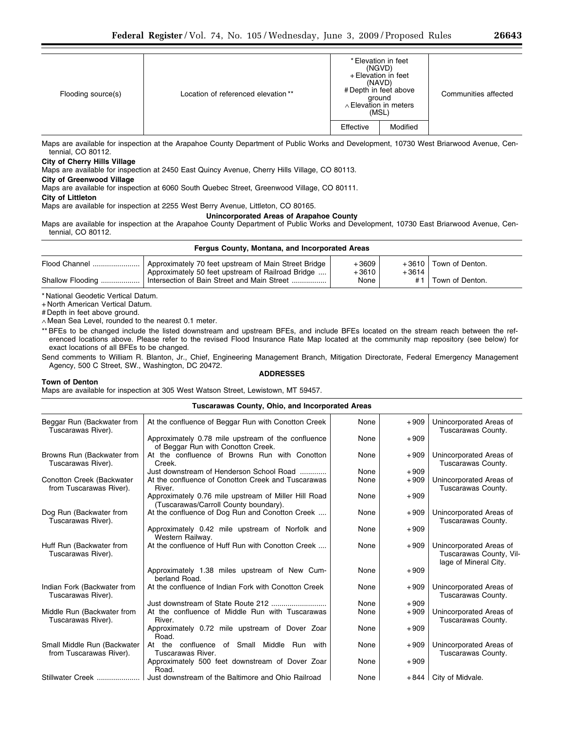Maps are available for inspection at the Arapahoe County Department of Public Works and Development, 10730 West Briarwood Avenue, Centennial, CO 80112.

# **City of Cherry Hills Village**

Maps are available for inspection at 2450 East Quincy Avenue, Cherry Hills Village, CO 80113.

### **City of Greenwood Village**

Maps are available for inspection at 6060 South Quebec Street, Greenwood Village, CO 80111.

**City of Littleton** 

Maps are available for inspection at 2255 West Berry Avenue, Littleton, CO 80165.

# **Unincorporated Areas of Arapahoe County**

Maps are available for inspection at the Arapahoe County Department of Public Works and Development, 10730 East Briarwood Avenue, Centennial, CO 80112.

| Fergus County, Montana, and Incorporated Areas |                                                      |       |       |                           |  |
|------------------------------------------------|------------------------------------------------------|-------|-------|---------------------------|--|
| Flood Channel                                  | Approximately 70 feet upstream of Main Street Bridge | +3609 |       | $+3610$   Town of Denton. |  |
|                                                | Approximately 50 feet upstream of Railroad Bridge    | +3610 | +3614 |                           |  |
| Shallow Flooding                               | Intersection of Bain Street and Main Street          | None  | #1    | Town of Denton.           |  |

\* National Geodetic Vertical Datum.

+ North American Vertical Datum.

# Depth in feet above ground.

∧ Mean Sea Level, rounded to the nearest 0.1 meter.

\*\* BFEs to be changed include the listed downstream and upstream BFEs, and include BFEs located on the stream reach between the referenced locations above. Please refer to the revised Flood Insurance Rate Map located at the community map repository (see below) for exact locations of all BFEs to be changed.

Send comments to William R. Blanton, Jr., Chief, Engineering Management Branch, Mitigation Directorate, Federal Emergency Management Agency, 500 C Street, SW., Washington, DC 20472.

## **ADDRESSES**

**Town of Denton**  Maps are available for inspection at 305 West Watson Street, Lewistown, MT 59457.

### **Tuscarawas County, Ohio, and Incorporated Areas**

| Beggar Run (Backwater from<br>Tuscarawas River).       | At the confluence of Beggar Run with Conotton Creek                                           | None | $+909$ | Unincorporated Areas of<br>Tuscarawas County.                               |
|--------------------------------------------------------|-----------------------------------------------------------------------------------------------|------|--------|-----------------------------------------------------------------------------|
|                                                        | Approximately 0.78 mile upstream of the confluence<br>of Beggar Run with Conotton Creek.      | None | $+909$ |                                                                             |
| Browns Run (Backwater from<br>Tuscarawas River).       | At the confluence of Browns Run with Conotton<br>Creek.                                       | None | $+909$ | Unincorporated Areas of<br>Tuscarawas County.                               |
|                                                        | Just downstream of Henderson School Road                                                      | None | $+909$ |                                                                             |
| Conotton Creek (Backwater<br>from Tuscarawas River).   | At the confluence of Conotton Creek and Tuscarawas<br>River.                                  | None | $+909$ | Unincorporated Areas of<br>Tuscarawas County.                               |
|                                                        | Approximately 0.76 mile upstream of Miller Hill Road<br>(Tuscarawas/Carroll County boundary). | None | $+909$ |                                                                             |
| Dog Run (Backwater from<br>Tuscarawas River).          | At the confluence of Dog Run and Conotton Creek                                               | None | $+909$ | Unincorporated Areas of<br>Tuscarawas County.                               |
|                                                        | Approximately 0.42 mile upstream of Norfolk and<br>Western Railway.                           | None | $+909$ |                                                                             |
| Huff Run (Backwater from<br>Tuscarawas River).         | At the confluence of Huff Run with Conotton Creek                                             | None | $+909$ | Unincorporated Areas of<br>Tuscarawas County, Vil-<br>lage of Mineral City. |
|                                                        | Approximately 1.38 miles upstream of New Cum-<br>berland Road.                                | None | $+909$ |                                                                             |
| Indian Fork (Backwater from<br>Tuscarawas River).      | At the confluence of Indian Fork with Conotton Creek                                          | None | $+909$ | Unincorporated Areas of<br>Tuscarawas County.                               |
|                                                        |                                                                                               | None | $+909$ |                                                                             |
| Middle Run (Backwater from<br>Tuscarawas River).       | At the confluence of Middle Run with Tuscarawas<br>River.                                     | None | $+909$ | Unincorporated Areas of<br>Tuscarawas County.                               |
|                                                        | Approximately 0.72 mile upstream of Dover Zoar<br>Road.                                       | None | $+909$ |                                                                             |
| Small Middle Run (Backwater<br>from Tuscarawas River). | confluence<br>of Small Middle Run with<br>the<br>At<br>Tuscarawas River.                      | None | $+909$ | Unincorporated Areas of<br>Tuscarawas County.                               |
|                                                        | Approximately 500 feet downstream of Dover Zoar<br>Road.                                      | None | $+909$ |                                                                             |
| Stillwater Creek                                       | Just downstream of the Baltimore and Ohio Railroad                                            | None |        | $+844$ City of Midvale.                                                     |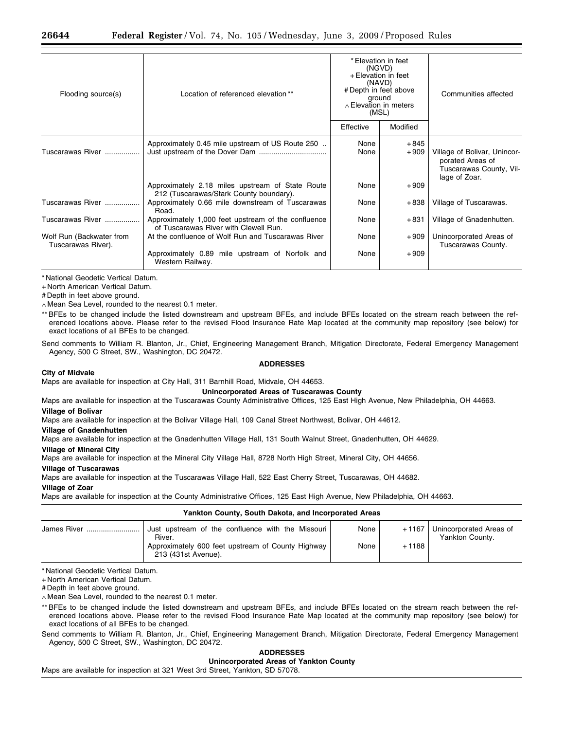| Flooding source(s)                             | Location of referenced elevation **                                                          |              | * Elevation in feet<br>(NGVD)<br>+ Elevation in feet<br>(NAVD)<br># Depth in feet above<br>ground<br>$\land$ Elevation in meters<br>(MSL) | Communities affected                                                                         |
|------------------------------------------------|----------------------------------------------------------------------------------------------|--------------|-------------------------------------------------------------------------------------------------------------------------------------------|----------------------------------------------------------------------------------------------|
|                                                |                                                                                              | Effective    | Modified                                                                                                                                  |                                                                                              |
| Tuscarawas River                               | Approximately 0.45 mile upstream of US Route 250.                                            | None<br>None | $+845$<br>$+909$                                                                                                                          | Village of Bolivar, Unincor-<br>porated Areas of<br>Tuscarawas County, Vil-<br>lage of Zoar. |
|                                                | Approximately 2.18 miles upstream of State Route<br>212 (Tuscarawas/Stark County boundary).  | None         | $+909$                                                                                                                                    |                                                                                              |
| Tuscarawas River                               | Approximately 0.66 mile downstream of Tuscarawas<br>Road.                                    | None         | $+838$                                                                                                                                    | Village of Tuscarawas.                                                                       |
| Tuscarawas River                               | Approximately 1,000 feet upstream of the confluence<br>of Tuscarawas River with Clewell Run. | None         | $+831$                                                                                                                                    | Village of Gnadenhutten.                                                                     |
| Wolf Run (Backwater from<br>Tuscarawas River). | At the confluence of Wolf Run and Tuscarawas River                                           | None         | $+909$                                                                                                                                    | Unincorporated Areas of<br>Tuscarawas County.                                                |
|                                                | Approximately 0.89 mile upstream of Norfolk and<br>Western Railway.                          | None         | $+909$                                                                                                                                    |                                                                                              |

\* National Geodetic Vertical Datum.

+ North American Vertical Datum.

# Depth in feet above ground.

∧ Mean Sea Level, rounded to the nearest 0.1 meter.

\*\* BFEs to be changed include the listed downstream and upstream BFEs, and include BFEs located on the stream reach between the referenced locations above. Please refer to the revised Flood Insurance Rate Map located at the community map repository (see below) for exact locations of all BFEs to be changed.

Send comments to William R. Blanton, Jr., Chief, Engineering Management Branch, Mitigation Directorate, Federal Emergency Management Agency, 500 C Street, SW., Washington, DC 20472.

## **ADDRESSES**

#### **City of Midvale**

Maps are available for inspection at City Hall, 311 Barnhill Road, Midvale, OH 44653.

## **Unincorporated Areas of Tuscarawas County**

Maps are available for inspection at the Tuscarawas County Administrative Offices, 125 East High Avenue, New Philadelphia, OH 44663.

#### **Village of Bolivar**

Maps are available for inspection at the Bolivar Village Hall, 109 Canal Street Northwest, Bolivar, OH 44612.

#### **Village of Gnadenhutten**

Maps are available for inspection at the Gnadenhutten Village Hall, 131 South Walnut Street, Gnadenhutten, OH 44629.

## **Village of Mineral City**

Maps are available for inspection at the Mineral City Village Hall, 8728 North High Street, Mineral City, OH 44656.

#### **Village of Tuscarawas**

Maps are available for inspection at the Tuscarawas Village Hall, 522 East Cherry Street, Tuscarawas, OH 44682.

#### **Village of Zoar**

Maps are available for inspection at the County Administrative Offices, 125 East High Avenue, New Philadelphia, OH 44663.

#### **Yankton County, South Dakota, and Incorporated Areas**  James River .......................... Just upstream of the confluence with the Missouri River. None  $+1167$  Unincorporated Areas of Yankton County. Approximately 600 feet upstream of County Highway 213 (431st Avenue). None  $+1188$

\* National Geodetic Vertical Datum.

+ North American Vertical Datum.

# Depth in feet above ground.

∧ Mean Sea Level, rounded to the nearest 0.1 meter.

\*\* BFEs to be changed include the listed downstream and upstream BFEs, and include BFEs located on the stream reach between the referenced locations above. Please refer to the revised Flood Insurance Rate Map located at the community map repository (see below) for exact locations of all BFEs to be changed.

Send comments to William R. Blanton, Jr., Chief, Engineering Management Branch, Mitigation Directorate, Federal Emergency Management Agency, 500 C Street, SW., Washington, DC 20472.

# **ADDRESSES**

#### **Unincorporated Areas of Yankton County**

Maps are available for inspection at 321 West 3rd Street, Yankton, SD 57078.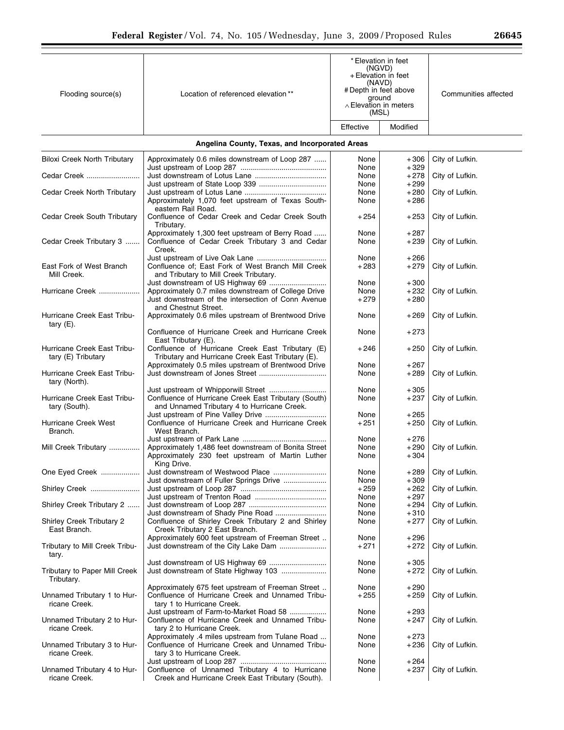| Flooding source(s)                                | Location of referenced elevation**                                                                                                  | *Elevation in feet<br>(NGVD)<br>+ Elevation in feet<br>(NAVD)<br># Depth in feet above<br>ground<br>$\land$ Elevation in meters<br>(MSL)<br>Effective | Modified         | Communities affected |  |  |  |  |
|---------------------------------------------------|-------------------------------------------------------------------------------------------------------------------------------------|-------------------------------------------------------------------------------------------------------------------------------------------------------|------------------|----------------------|--|--|--|--|
|                                                   |                                                                                                                                     |                                                                                                                                                       |                  |                      |  |  |  |  |
|                                                   | Angelina County, Texas, and Incorporated Areas                                                                                      |                                                                                                                                                       |                  |                      |  |  |  |  |
| <b>Biloxi Creek North Tributary</b>               | Approximately 0.6 miles downstream of Loop 287                                                                                      | None                                                                                                                                                  | $+306$           | City of Lufkin.      |  |  |  |  |
| Cedar Creek                                       |                                                                                                                                     | None<br>None                                                                                                                                          | $+329$<br>$+278$ | City of Lufkin.      |  |  |  |  |
|                                                   |                                                                                                                                     | None                                                                                                                                                  | $+299$           |                      |  |  |  |  |
| Cedar Creek North Tributary                       |                                                                                                                                     | None                                                                                                                                                  | $+280$           | City of Lufkin.      |  |  |  |  |
|                                                   | Approximately 1,070 feet upstream of Texas South-                                                                                   | None                                                                                                                                                  | $+286$           |                      |  |  |  |  |
| Cedar Creek South Tributary                       | eastern Rail Road.<br>Confluence of Cedar Creek and Cedar Creek South<br>Tributary.                                                 | $+254$                                                                                                                                                | $+253$           | City of Lufkin.      |  |  |  |  |
|                                                   | Approximately 1,300 feet upstream of Berry Road                                                                                     | None                                                                                                                                                  | $+287$           |                      |  |  |  |  |
| Cedar Creek Tributary 3                           | Confluence of Cedar Creek Tributary 3 and Cedar<br>Creek.                                                                           | None                                                                                                                                                  | $+239$           | City of Lufkin.      |  |  |  |  |
|                                                   |                                                                                                                                     | None                                                                                                                                                  | $+266$           |                      |  |  |  |  |
| East Fork of West Branch<br>Mill Creek.           | Confluence of; East Fork of West Branch Mill Creek<br>and Tributary to Mill Creek Tributary.                                        | $+283$                                                                                                                                                | $+279$<br>$+300$ | City of Lufkin.      |  |  |  |  |
| Hurricane Creek                                   | Approximately 0.7 miles downstream of College Drive                                                                                 | None<br>None                                                                                                                                          | $+232$           | City of Lufkin.      |  |  |  |  |
|                                                   | Just downstream of the intersection of Conn Avenue<br>and Chestnut Street.                                                          | $+279$                                                                                                                                                | $+280$           |                      |  |  |  |  |
| Hurricane Creek East Tribu-<br>tary $(E)$ .       | Approximately 0.6 miles upstream of Brentwood Drive                                                                                 | None                                                                                                                                                  | $+269$           | City of Lufkin.      |  |  |  |  |
|                                                   | Confluence of Hurricane Creek and Hurricane Creek                                                                                   | None                                                                                                                                                  | $+273$           |                      |  |  |  |  |
| Hurricane Creek East Tribu-<br>tary (E) Tributary | East Tributary (E).<br>Confluence of Hurricane Creek East Tributary (E)<br>Tributary and Hurricane Creek East Tributary (E).        | $+246$                                                                                                                                                | $+250$           | City of Lufkin.      |  |  |  |  |
|                                                   | Approximately 0.5 miles upstream of Brentwood Drive                                                                                 | None                                                                                                                                                  | $+267$           |                      |  |  |  |  |
| Hurricane Creek East Tribu-<br>tary (North).      |                                                                                                                                     | None                                                                                                                                                  | $+289$           | City of Lufkin.      |  |  |  |  |
| Hurricane Creek East Tribu-                       | Confluence of Hurricane Creek East Tributary (South)                                                                                | None<br>None                                                                                                                                          | $+305$<br>$+237$ | City of Lufkin.      |  |  |  |  |
| tary (South).                                     | and Unnamed Tributary 4 to Hurricane Creek.                                                                                         | None                                                                                                                                                  | $+265$           |                      |  |  |  |  |
| Hurricane Creek West<br>Branch.                   | Confluence of Hurricane Creek and Hurricane Creek<br>West Branch.                                                                   | $+251$                                                                                                                                                | $+250$           | City of Lufkin.      |  |  |  |  |
|                                                   |                                                                                                                                     | None                                                                                                                                                  | $+276$           |                      |  |  |  |  |
| Mill Creek Tributary                              | Approximately 1,486 feet downstream of Bonita Street<br>Approximately 230 feet upstream of Martin Luther<br>King Drive.             | None<br>None                                                                                                                                          | $+290$<br>$+304$ | City of Lufkin.      |  |  |  |  |
| One Eyed Creek                                    |                                                                                                                                     | None                                                                                                                                                  | $+289$           | City of Lufkin.      |  |  |  |  |
|                                                   | Just downstream of Fuller Springs Drive                                                                                             | None                                                                                                                                                  | $+309$           |                      |  |  |  |  |
| Shirley Creek                                     |                                                                                                                                     | $+259$                                                                                                                                                | $+262$           | City of Lufkin.      |  |  |  |  |
| Shirley Creek Tributary 2                         |                                                                                                                                     | None<br>None                                                                                                                                          | $+297$<br>$+294$ | City of Lufkin.      |  |  |  |  |
|                                                   | Just downstream of Shady Pine Road                                                                                                  | None                                                                                                                                                  | $+310$           |                      |  |  |  |  |
| <b>Shirley Creek Tributary 2</b><br>East Branch.  | Confluence of Shirley Creek Tributary 2 and Shirley<br>Creek Tributary 2 East Branch.                                               | None                                                                                                                                                  | $+277$           | City of Lufkin.      |  |  |  |  |
| Tributary to Mill Creek Tribu-<br>tary.           | Approximately 600 feet upstream of Freeman Street                                                                                   | None<br>$+271$                                                                                                                                        | $+296$<br>$+272$ | City of Lufkin.      |  |  |  |  |
|                                                   |                                                                                                                                     | None                                                                                                                                                  | $+305$           |                      |  |  |  |  |
| Tributary to Paper Mill Creek<br>Tributary.       | Just downstream of State Highway 103                                                                                                | None                                                                                                                                                  | $+272$           | City of Lufkin.      |  |  |  |  |
| Unnamed Tributary 1 to Hur-<br>ricane Creek.      | Approximately 675 feet upstream of Freeman Street<br>Confluence of Hurricane Creek and Unnamed Tribu-<br>tary 1 to Hurricane Creek. | None<br>$+255$                                                                                                                                        | $+290$<br>$+259$ | City of Lufkin.      |  |  |  |  |
| Unnamed Tributary 2 to Hur-<br>ricane Creek.      | Just upstream of Farm-to-Market Road 58<br>Confluence of Hurricane Creek and Unnamed Tribu-<br>tary 2 to Hurricane Creek.           | None<br>None                                                                                                                                          | $+293$<br>$+247$ | City of Lufkin.      |  |  |  |  |
| Unnamed Tributary 3 to Hur-                       | Approximately .4 miles upstream from Tulane Road<br>Confluence of Hurricane Creek and Unnamed Tribu-                                | None<br>None                                                                                                                                          | $+273$<br>$+236$ | City of Lufkin.      |  |  |  |  |
| ricane Creek.                                     | tary 3 to Hurricane Creek.                                                                                                          |                                                                                                                                                       |                  |                      |  |  |  |  |
| Unnamed Tributary 4 to Hur-<br>ricane Creek.      | Confluence of Unnamed Tributary 4 to Hurricane<br>Creek and Hurricane Creek East Tributary (South).                                 | None<br>None                                                                                                                                          | $+264$<br>$+237$ | City of Lufkin.      |  |  |  |  |